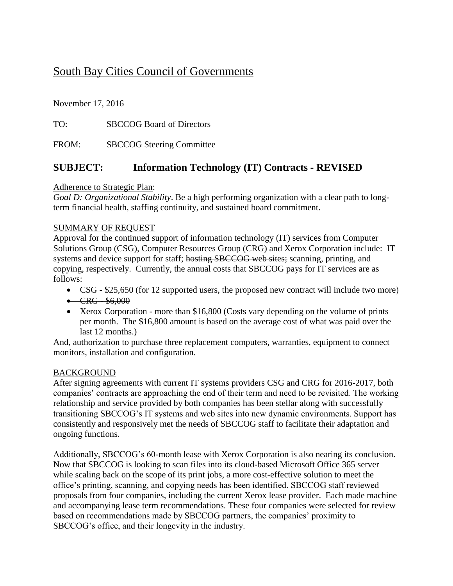# South Bay Cities Council of Governments

November 17, 2016

TO: SBCCOG Board of Directors

FROM: SBCCOG Steering Committee

### **SUBJECT: Information Technology (IT) Contracts - REVISED**

#### Adherence to Strategic Plan:

*Goal D: Organizational Stability*. Be a high performing organization with a clear path to longterm financial health, staffing continuity, and sustained board commitment.

#### SUMMARY OF REQUEST

Approval for the continued support of information technology (IT) services from Computer Solutions Group (CSG), Computer Resources Group (CRG) and Xerox Corporation include: IT systems and device support for staff; hosting SBCCOG web sites; scanning, printing, and copying, respectively. Currently, the annual costs that SBCCOG pays for IT services are as follows:

- CSG \$25,650 (for 12 supported users, the proposed new contract will include two more)
- $-CRG $6,000$
- Xerox Corporation more than \$16,800 (Costs vary depending on the volume of prints per month. The \$16,800 amount is based on the average cost of what was paid over the last 12 months.)

And, authorization to purchase three replacement computers, warranties, equipment to connect monitors, installation and configuration.

#### BACKGROUND

After signing agreements with current IT systems providers CSG and CRG for 2016-2017, both companies' contracts are approaching the end of their term and need to be revisited. The working relationship and service provided by both companies has been stellar along with successfully transitioning SBCCOG's IT systems and web sites into new dynamic environments. Support has consistently and responsively met the needs of SBCCOG staff to facilitate their adaptation and ongoing functions.

Additionally, SBCCOG's 60-month lease with Xerox Corporation is also nearing its conclusion. Now that SBCCOG is looking to scan files into its cloud-based Microsoft Office 365 server while scaling back on the scope of its print jobs, a more cost-effective solution to meet the office's printing, scanning, and copying needs has been identified. SBCCOG staff reviewed proposals from four companies, including the current Xerox lease provider. Each made machine and accompanying lease term recommendations. These four companies were selected for review based on recommendations made by SBCCOG partners, the companies' proximity to SBCCOG's office, and their longevity in the industry.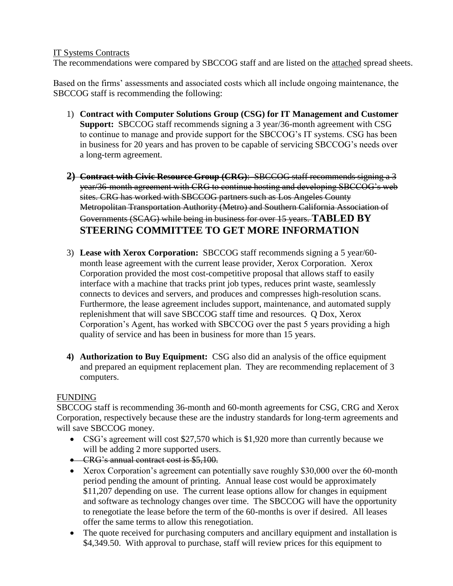#### IT Systems Contracts

The recommendations were compared by SBCCOG staff and are listed on the attached spread sheets.

Based on the firms' assessments and associated costs which all include ongoing maintenance, the SBCCOG staff is recommending the following:

- 1) **Contract with Computer Solutions Group (CSG) for IT Management and Customer Support:** SBCCOG staff recommends signing a 3 year/36-month agreement with CSG to continue to manage and provide support for the SBCCOG's IT systems. CSG has been in business for 20 years and has proven to be capable of servicing SBCCOG's needs over a long-term agreement.
- **2) Contract with Civic Resource Group (CRG)**: SBCCOG staff recommends signing a 3 year/36-month agreement with CRG to continue hosting and developing SBCCOG's web sites. CRG has worked with SBCCOG partners such as Los Angeles County Metropolitan Transportation Authority (Metro) and Southern California Association of Governments (SCAG) while being in business for over 15 years. **TABLED BY STEERING COMMITTEE TO GET MORE INFORMATION**
- 3) **Lease with Xerox Corporation:** SBCCOG staff recommends signing a 5 year/60 month lease agreement with the current lease provider, Xerox Corporation. Xerox Corporation provided the most cost-competitive proposal that allows staff to easily interface with a machine that tracks print job types, reduces print waste, seamlessly connects to devices and servers, and produces and compresses high-resolution scans. Furthermore, the lease agreement includes support, maintenance, and automated supply replenishment that will save SBCCOG staff time and resources. Q Dox, Xerox Corporation's Agent, has worked with SBCCOG over the past 5 years providing a high quality of service and has been in business for more than 15 years.
- **4) Authorization to Buy Equipment:** CSG also did an analysis of the office equipment and prepared an equipment replacement plan. They are recommending replacement of 3 computers.

### FUNDING

SBCCOG staff is recommending 36-month and 60-month agreements for CSG, CRG and Xerox Corporation, respectively because these are the industry standards for long-term agreements and will save SBCCOG money.

- CSG's agreement will cost \$27,570 which is \$1,920 more than currently because we will be adding 2 more supported users.
- CRG's annual contract cost is \$5,100.
- Xerox Corporation's agreement can potentially save roughly \$30,000 over the 60-month period pending the amount of printing. Annual lease cost would be approximately \$11,207 depending on use. The current lease options allow for changes in equipment and software as technology changes over time. The SBCCOG will have the opportunity to renegotiate the lease before the term of the 60-months is over if desired. All leases offer the same terms to allow this renegotiation.
- The quote received for purchasing computers and ancillary equipment and installation is \$4,349.50. With approval to purchase, staff will review prices for this equipment to